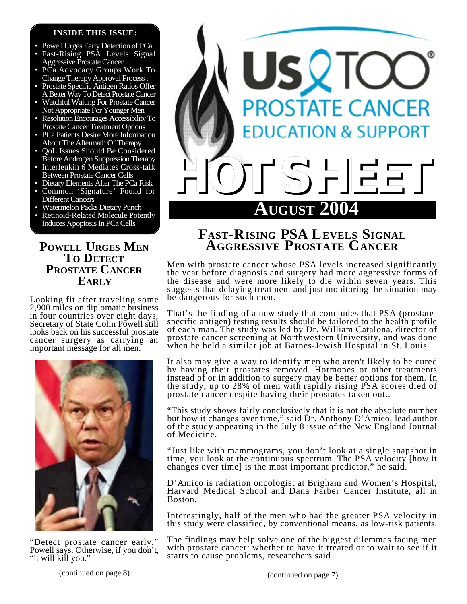### **INSIDE THIS ISSUE:**

- Powell Urges Early Detection of PCa
- Fast-Rising PSA Levels Signal Aggressive Prostate Cancer
- PCa Advocacy Groups Work To Change Therapy Approval Process .
- Prostate Specific Antigen Ratios Offer A Better Way To Detect Prostate Cancer
- Watchful Waiting For Prostate Cancer Not Appropriate For Younger Men
- Resolution Encourages Accessibility To Prostate Cancer Treatment Options
- PCa Patients Desire More Information About The Aftermath Of Therapy
- QoL Issues Should Be Considered Before Androgen Suppression Therapy
- Interleukin 6 Mediates Cross-talk Between Prostate Cancer Cells
- Dietary Elements Alter The PCa Risk
- Common 'Signature' Found for Different Cancers
- Watermelon Packs Dietary Punch
- Retinoid-Related Molecule Potently Induces Apoptosis In PCa Cells

# **POWELL URGES MEN TO DETECT PROSTATE CANCER EARLY**

Looking fit after traveling some 2,900 miles on diplomatic business in four countries over eight days, Secretary of State Colin Powell still looks back on his successful prostate cancer surgery as carrying an important message for all men.



"Detect prostate cancer early," Powell says. Otherwise, if you don't, "it will kill you."



# **FAST-RISING PSA LEVELS SIGNAL AGGRESSIVE PROSTATE CANCER**

Men with prostate cancer whose PSA levels increased significantly the year before diagnosis and surgery had more aggressive forms of the disease and were more likely to die within seven years. This suggests that delaying treatment and just monitoring the situation may be dangerous for such men.

That's the finding of a new study that concludes that PSA (prostatespecific antigen) testing results should be tailored to the health profile of each man. The study was led by Dr. William Catalona, director of prostate cancer screening at Northwestern University, and was done when he held a similar job at Barnes-Jewish Hospital in St. Louis.

It also may give a way to identify men who aren't likely to be cured by having their prostates removed. Hormones or other treatments instead of or in addition to surgery may be better options for them. In the study, up to 28% of men with rapidly rising PSA scores died of prostate cancer despite having their prostates taken out..

"This study shows fairly conclusively that it is not the absolute number but how it changes over time," said Dr. Anthony D'Amico, lead author of the study appearing in the July 8 issue of the New England Journal of Medicine.

"Just like with mammograms, you don't look at a single snapshot in time, you look at the continuous spectrum. The PSA velocity [how it changes over time] is the most important predictor," he said.

D'Amico is radiation oncologist at Brigham and Women's Hospital, Harvard Medical School and Dana Farber Cancer Institute, all in Boston.

Interestingly, half of the men who had the greater PSA velocity in this study were classified, by conventional means, as low-risk patients.

The findings may help solve one of the biggest dilemmas facing men with prostate cancer: whether to have it treated or to wait to see if it starts to cause problems, researchers said.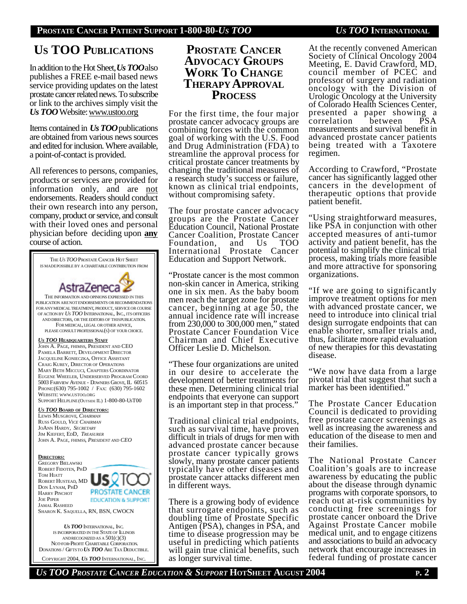# **US TOO PUBLICATIONS**

In addition to the Hot Sheet, *Us TOO*also publishes a FREE e-mail based news service providing updates on the latest prostate cancer related news. To subscribe or link to the archives simply visit the *Us TOO* Website: www.ustoo.org

Items contained in *Us TOO*publications are obtained from various news sources and edited for inclusion. Where available, a point-of-contact is provided.

All references to persons, companies, products or services are provided for information only, and are not endorsements. Readers should conduct their own research into any person, company, product or service, and consult with their loved ones and personal physician before deciding upon **any** course of action.



# **PROSTATE CANCER ADVOCACY GROUPS WORK TO CHANGE THERAPY APPROVAL PROCESS**

For the first time, the four major prostate cancer advocacy groups are combining forces with the common goal of working with the U.S. Food and Drug Administration (FDA) to streamline the approval process for critical prostate cancer treatments by changing the traditional measures of a research study's success or failure, known as clinical trial endpoints, without compromising safety.

The four prostate cancer advocacy groups are the Prostate Cancer Education Council, National Prostate Cancer Coalition, Prostate Cancer Foundation, and Us TOO International Prostate Cancer Education and Support Network.

"Prostate cancer is the most common non-skin cancer in America, striking one in six men. As the baby boom men reach the target zone for prostate cancer, beginning at age 50, the annual incidence rate will increase from 230,000 to 300,000 men," stated Prostate Cancer Foundation Vice Chairman and Chief Executive Officer Leslie D. Michelson.

"These four organizations are united in our desire to accelerate the development of better treatments for these men. Determining clinical trial endpoints that everyone can support is an important step in that process."

Traditional clinical trial endpoints, such as survival time, have proven difficult in trials of drugs for men with advanced prostate cancer because prostate cancer typically grows slowly, many prostate cancer patients typically have other diseases and prostate cancer attacks different men in different ways.

There is a growing body of evidence that surrogate endpoints, such as doubling time of Prostate Specific Antigen (PSA), changes in PSA, and time to disease progression may be useful in predicting which patients will gain true clinical benefits, such as longer survival time.

At the recently convened American Society of Clinical Oncology 2004 Meeting, E. David Crawford, MD, council member of PCEC and professor of surgery and radiation oncology with the Division of Urologic Oncology at the University of Colorado Health Sciences Center, presented a paper showing a<br>correlation between PSA correlation measurements and survival benefit in advanced prostate cancer patients being treated with a Taxotere regimen.

According to Crawford, "Prostate cancer has significantly lagged other cancers in the development of therapeutic options that provide patient benefit.

"Using straightforward measures, like PSA in conjunction with other accepted measures of anti-tumor activity and patient benefit, has the potential to simplify the clinical trial process, making trials more feasible and more attractive for sponsoring organizations.

"If we are going to significantly improve treatment options for men with advanced prostate cancer, we need to introduce into clinical trial design surrogate endpoints that can enable shorter, smaller trials and, thus, facilitate more rapid evaluation of new therapies for this devastating disease.

"We now have data from a large pivotal trial that suggest that such a marker has been identified."

The Prostate Cancer Education Council is dedicated to providing free prostate cancer screenings as well as increasing the awareness and education of the disease to men and their families.

The National Prostate Cancer Coalition's goals are to increase awareness by educating the public about the disease through dynamic programs with corporate sponsors, to reach out at-risk communities by conducting free screenings for prostate cancer onboard the Drive Against Prostate Cancer mobile medical unit, and to engage citizens and associations to build an advocacy network that encourage increases in federal funding of prostate cancer

*US TOO PROSTATE CANCER EDUCATION & SUPPORT* **HOTSHEET AUGUST 2004 P. 2**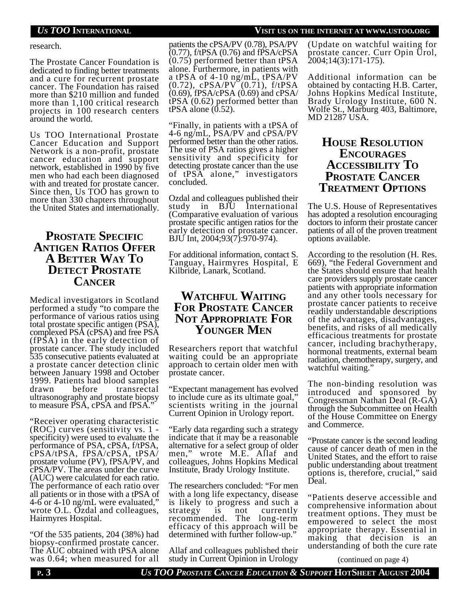### *US TOO* **INTERNATIONAL VISIT US ON THE INTERNET AT WWW.USTOO.ORG**

research.

The Prostate Cancer Foundation is dedicated to finding better treatments and a cure for recurrent prostate cancer. The Foundation has raised more than \$210 million and funded more than 1,100 critical research projects in 100 research centers around the world.

Us TOO International Prostate Cancer Education and Support Network is a non-profit, prostate cancer education and support network, established in 1990 by five men who had each been diagnosed with and treated for prostate cancer. Since then, Us TOO has grown to more than 330 chapters throughout the United States and internationally.

# **PROSTATE SPECIFIC ANTIGEN RATIOS OFFER A BETTER WAY TO DETECT PROSTATE CANCER**

Medical investigators in Scotland performed a study "to compare the performance of various ratios using total prostate specific antigen (PSA), complexed PSA (cPSA) and free PSA (fPSA) in the early detection of prostate cancer. The study included 535 consecutive patients evaluated at a prostate cancer detection clinic between January 1998 and October 1999. Patients had blood samples transrectal ultrasonography and prostate biopsy to measure PSA, cPSA and fPSA."

"Receiver operating characteristic (ROC) curves (sensitivity vs. 1 specificity) were used to evaluate the performance of PSA, cPSA, f/tPSA, cPSA/tPSA, fPSA/cPSA, tPSA/ prostate volume (PV), fPSA/PV, and cPSA/PV. The areas under the curve (AUC) were calculated for each ratio. The performance of each ratio over all patients or in those with a tPSA of 4-6 or 4-10 ng/mL were evaluated," wrote O.L. Ozdal and colleagues, Hairmyres Hospital.

"Of the 535 patients, 204 (38%) had biopsy-confirmed prostate cancer. The AUC obtained with tPSA alone was 0.64; when measured for all

patients the cPSA/PV (0.78), PSA/PV (0.77), f/tPSA (0.76) and fPSA/cPSA (0.75) performed better than tPSA alone. Furthermore, in patients with a tPSA of 4-10 ng/mL, tPSA/PV  $(0.72)$ ,  $cPSA/PV^{\dagger}(0.71)$ ,  $f/tPSA$ (0.69), fPSA/cPSA (0.69) and cPSA/ tPSA (0.62) performed better than tPSA alone  $(0.52)$ .

"Finally, in patients with a tPSA of 4-6 ng/mL, PSA/PV and cPSA/PV performed better than the other ratios. The use of PSA ratios gives a higher sensitivity and specificity for detecting prostate cancer than the use of tPSA alone," investigators concluded.

Ozdal and colleagues published their study in BJU International (Comparative evaluation of various prostate specific antigen ratios for the early detection of prostate cancer. BJU Int, 2004;93(7):970-974).

For additional information, contact S. Tanguay, Hairmyres Hospital, E Kilbride, Lanark, Scotland.

# **WATCHFUL WAITING FOR PROSTATE CANCER NOT APPROPRIATE FOR YOUNGER MEN**

Researchers report that watchful waiting could be an appropriate approach to certain older men with prostate cancer.

"Expectant management has evolved to include cure as its ultimate goal," scientists writing in the journal Current Opinion in Urology report.

"Early data regarding such a strategy indicate that it may be a reasonable alternative for a select group of older men," wrote M.E. Allaf and colleagues, Johns Hopkins Medical Institute, Brady Urology Institute.

The researchers concluded: "For men with a long life expectancy, disease is likely to progress and such a strategy is not currently recommended. The long-term efficacy of this approach will be determined with further follow-up."

Allaf and colleagues published their study in Current Opinion in Urology

(Update on watchful waiting for prostate cancer. Curr Opin Urol, 2004;14(3):171-175).

Additional information can be obtained by contacting H.B. Carter, Johns Hopkins Medical Institute, Brady Urology Institute, 600 N. Wolfe St., Marburg 403, Baltimore, MD 21287 USA.

# **HOUSE RESOLUTION ENCOURAGES ACCESSIBILITY TO PROSTATE CANCER TREATMENT OPTIONS**

The U.S. House of Representatives has adopted a resolution encouraging doctors to inform their prostate cancer patients of all of the proven treatment options available.

According to the resolution (H. Res. 669), "the Federal Government and the States should ensure that health care providers supply prostate cancer patients with appropriate information and any other tools necessary for prostate cancer patients to receive readily understandable descriptions of the advantages, disadvantages, benefits, and risks of all medically efficacious treatments for prostate cancer, including brachytherapy, hormonal treatments, external beam radiation, chemotherapy, surgery, and watchful waiting."

The non-binding resolution was introduced and sponsored by Congressman Nathan Deal (R-GA) through the Subcommittee on Health of the House Committee on Energy and Commerce.

"Prostate cancer is the second leading cause of cancer death of men in the United States, and the effort to raise public understanding about treatment options is, therefore, crucial," said Deal.

"Patients deserve accessible and comprehensive information about treatment options. They must be empowered to select the most appropriate therapy. Essential in making that decision is an understanding of both the cure rate

(continued on page 4)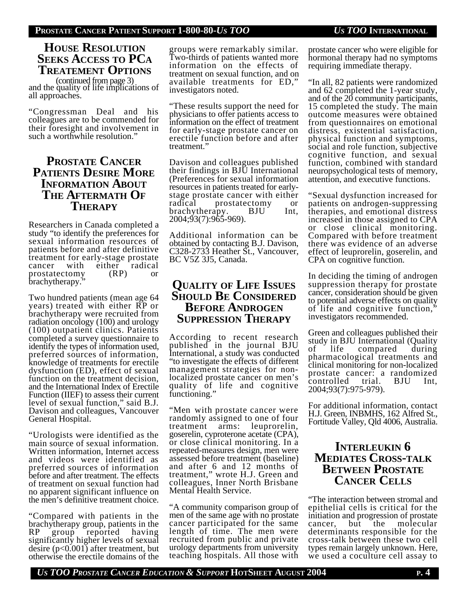# **HOUSE RESOLUTION SEEKS ACCESS TO PCA TREATEMENT OPTIONS**

and the quality of life implications of all approaches. (continued from page 3)

"Congressman Deal and his colleagues are to be commended for their foresight and involvement in such a worthwhile resolution."

# **PROSTATE CANCER PATIENTS DESIRE MORE INFORMATION ABOUT THE AFTERMATH OF THERAPY**

Researchers in Canada completed a study "to identify the preferences for sexual information resources of patients before and after definitive treatment for early-stage prostate<br>cancer with either radical cancer with either radical<br>prostatectomy (RP) or prostatectomy (RP) or brachytherapy.<sup>"</sup>

Two hundred patients (mean age 64 years) treated with either RP or brachytherapy were recruited from radiation oncology (100) and urology (100) outpatient clinics. Patients completed a survey questionnaire to identify the types of information used, preferred sources of information, knowledge of treatments for erectile dysfunction (ED), effect of sexual function on the treatment decision, and the International Index of Erectile Function (IIEF) to assess their current level of sexual function," said B.J. Davison and colleagues, Vancouver General Hospital.

"Urologists were identified as the main source of sexual information. Written information, Internet access and videos were identified as preferred sources of information before and after treatment. The effects of treatment on sexual function had no apparent significant influence on the men's definitive treatment choice.

"Compared with patients in the brachytherapy group, patients in the RP group reported having significantly higher levels of sexual desire (p<0.001) after treatment, but otherwise the erectile domains of the

groups were remarkably similar. Two-thirds of patients wanted more information on the effects of treatment on sexual function, and on available treatments for ED," investigators noted.

"These results support the need for physicians to offer patients access to information on the effect of treatment for early-stage prostate cancer on erectile function before and after treatment."

Davison and colleagues published their findings in BJU International (Preferences for sexual information resources in patients treated for earlystage prostate cancer with either radical prostatectomy or<br>brachytherapy. BJU Int. brachytherapy. 2004;93(7):965-969).

Additional information can be obtained by contacting B.J. Davison, C328-2733 Heather St., Vancouver, BC V5Z 3J5, Canada.

# **QUALITY OF LIFE ISSUES SHOULD BE CONSIDERED BEFORE ANDROGEN SUPPRESSION THERAPY**

According to recent research published in the journal BJU International, a study was conducted "to investigate the effects of different management strategies for nonlocalized prostate cancer on men's quality of life and cognitive functioning."

"Men with prostate cancer were randomly assigned to one of four treatment arms: leuprorelin, goserelin, cyproterone acetate (CPA), or close clinical monitoring. In a repeated-measures design, men were assessed before treatment (baseline) and after 6 and 12 months of treatment," wrote H.J. Green and colleagues, Inner North Brisbane Mental Health Service.

"A community comparison group of men of the same age with no prostate cancer participated for the same length of time. The men were recruited from public and private urology departments from university teaching hospitals. All those with

prostate cancer who were eligible for hormonal therapy had no symptoms requiring immediate therapy.

"In all, 82 patients were randomized and 62 completed the 1-year study, and of the 20 community participants, 15 completed the study. The main outcome measures were obtained from questionnaires on emotional distress, existential satisfaction, physical function and symptoms, social and role function, subjective cognitive function, and sexual function, combined with standard neuropsychological tests of memory, attention, and executive functions.

"Sexual dysfunction increased for patients on androgen-suppressing therapies, and emotional distress increased in those assigned to CPA or close clinical monitoring. Compared with before treatment there was evidence of an adverse effect of leuprorelin, goserelin, and CPA on cognitive function.

In deciding the timing of androgen suppression therapy for prostate cancer, consideration should be given to potential adverse effects on quality of life and cognitive function," investigators recommended.

Green and colleagues published their study in BJU International (Quality of life compared during pharmacological treatments and clinical monitoring for non-localized prostate cancer: a randomized controlled trial. BJU Int, 2004;93(7):975-979).

For additional information, contact H.J. Green, INBMHS, 162 Alfred St., Fortitude Valley, Qld 4006, Australia.

# **INTERLEUKIN 6 MEDIATES CROSS-TALK BETWEEN PROSTATE CANCER CELLS**

"The interaction between stromal and epithelial cells is critical for the initiation and progression of prostate<br>cancer, but the molecular molecular determinants responsible for the cross-talk between these two cell types remain largely unknown. Here, we used a coculture cell assay to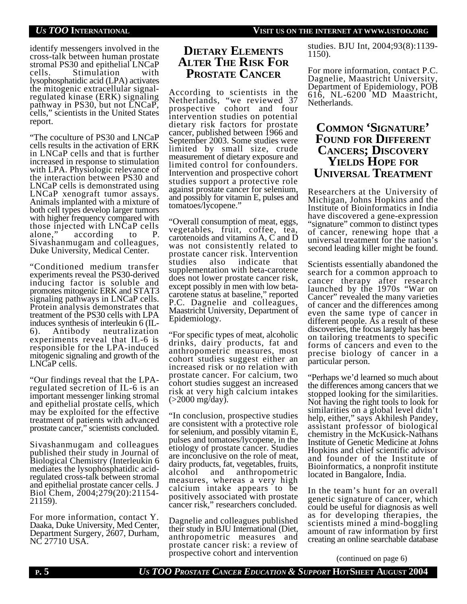identify messengers involved in the cross-talk between human prostate stromal PS30 and epithelial LNCaP<br>cells. Stimulation with Stimulation with lysophosphatidic acid (LPA) activates the mitogenic extracellular signalregulated kinase (ERK) signaling pathway in PS30, but not LNCaP, cells," scientists in the United States report.

"The coculture of PS30 and LNCaP cells results in the activation of ERK in LNCaP cells and that is further increased in response to stimulation with LPA. Physiologic relevance of the interaction between PS30 and LNCaP cells is demonstrated using LNCaP xenograft tumor assays. Animals implanted with a mixture of both cell types develop larger tumors with higher frequency compared with those injected with LNCaP cells alone," according to P. Sivashanmugam and colleagues, Duke University, Medical Center.

"Conditioned medium transfer experiments reveal the PS30-derived inducing factor is soluble and promotes mitogenic ERK and STAT3 signaling pathways in LNCaP cells. Protein analysis demonstrates that treatment of the PS30 cells with LPA induces synthesis of interleukin 6 (IL-6). Antibody neutralization experiments reveal that IL-6 is responsible for the LPA-induced mitogenic signaling and growth of the LNCaP cells.

"Our findings reveal that the LPAregulated secretion of IL-6 is an important messenger linking stromal and epithelial prostate cells, which may be exploited for the effective treatment of patients with advanced prostate cancer," scientists concluded.

Sivashanmugam and colleagues published their study in Journal of Biological Chemistry (Interleukin 6 mediates the lysophosphatidic acidregulated cross-talk between stromal and epithelial prostate cancer cells. J Biol Chem, 2004;279(20):21154- 21159).

For more information, contact Y. Daaka, Duke University, Med Center, Department Surgery, 2607, Durham, NC 27710 USA.

# **DIETARY ELEMENTS ALTER THE RISK FOR PROSTATE CANCER**

According to scientists in the Netherlands, "we reviewed 37 prospective cohort and four intervention studies on potential dietary risk factors for prostate cancer, published between 1966 and September 2003. Some studies were limited by small size, crude measurement of dietary exposure and limited control for confounders. Intervention and prospective cohort studies support a protective role against prostate cancer for selenium, and possibly for vitamin E, pulses and tomatoes/lycopene."

"Overall consumption of meat, eggs, vegetables, fruit, coffee, tea, carotenoids and vitamins A, C and D was not consistently related to prostate cancer risk. Intervention<br>studies also indicate that studies also indicate supplementation with beta-carotene does not lower prostate cancer risk, except possibly in men with low betacarotene status at baseline," reported P.C. Dagnelie and colleagues, Maastricht University, Department of Epidemiology.

"For specific types of meat, alcoholic drinks, dairy products, fat and anthropometric measures, most cohort studies suggest either an increased risk or no relation with prostate cancer. For calcium, two cohort studies suggest an increased risk at very high calcium intakes  $($ >2000 mg/day).

"In conclusion, prospective studies are consistent with a protective role for selenium, and possibly vitamin E, pulses and tomatoes/lycopene, in the etiology of prostate cancer. Studies are inconclusive on the role of meat, dairy products, fat, vegetables, fruits, alcohol and anthropometric measures, whereas a very high calcium intake appears to be positively associated with prostate cancer risk," researchers concluded.

Dagnelie and colleagues published their study in BJU International (Diet, anthropometric measures and prostate cancer risk: a review of prospective cohort and intervention

studies. BJU Int, 2004;93(8):1139- 1150).

For more information, contact P.C. Dagnelie, Maastricht University, Department of Epidemiology, POB 616, NL-6200 MD Maastricht, Netherlands.

# **COMMON 'SIGNATURE' FOUND FOR DIFFERENT CANCERS; DISCOVERY YIELDS HOPE FOR UNIVERSAL TREATMENT**

Researchers at the University of Michigan, Johns Hopkins and the Institute of Bioinformatics in India have discovered a gene-expression "signature" common to distinct types of cancer, renewing hope that a universal treatment for the nation's second leading killer might be found.

Scientists essentially abandoned the search for a common approach to cancer therapy after research launched by the 1970s "War on Cancer" revealed the many varieties of cancer and the differences among even the same type of cancer in different people. As a result of these discoveries, the focus largely has been on tailoring treatments to specific forms of cancers and even to the precise biology of cancer in a particular person.

"Perhaps we'd learned so much about the differences among cancers that we stopped looking for the similarities. Not having the right tools to look for similarities on a global level didn't help, either," says Akhilesh Pandey, assistant professor of biological chemistry in the McKusick-Nathans Institute of Genetic Medicine at Johns Hopkins and chief scientific advisor and founder of the Institute of Bioinformatics, a nonprofit institute located in Bangalore, India.

In the team's hunt for an overall genetic signature of cancer, which could be useful for diagnosis as well as for developing therapies, the scientists mined a mind-boggling amount of raw information by first creating an online searchable database

(continued on page 6)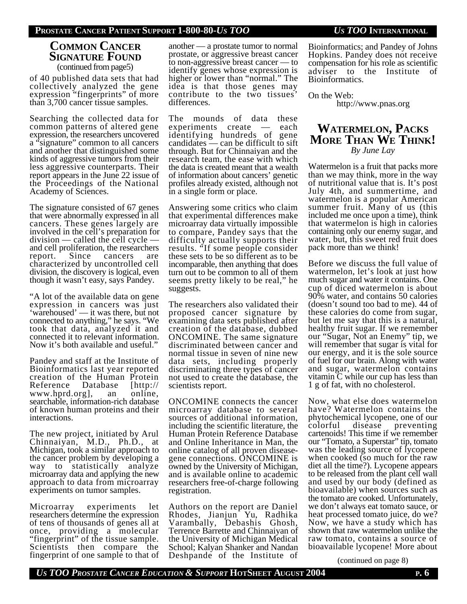### **PROSTATE CANCER PATIENT SUPPORT 1-800-80-***US TOO US TOO* **INTERNATIONAL**

## **COMMON CANCER SIGNATURE FOUND** (continued from page5)

of 40 published data sets that had collectively analyzed the gene expression "fingerprints" of more than 3,700 cancer tissue samples.

Searching the collected data for common patterns of altered gene expression, the researchers uncovered a "signature" common to all cancers and another that distinguished some kinds of aggressive tumors from their less aggressive counterparts. Their report appears in the June 22 issue of the Proceedings of the National Academy of Sciences.

The signature consisted of 67 genes that were abnormally expressed in all cancers. These genes largely are involved in the cell's preparation for division — called the cell cycle and cell proliferation, the researchers report. Since cancers are characterized by uncontrolled cell division, the discovery is logical, even though it wasn't easy, says Pandey.

"A lot of the available data on gene expression in cancers was just 'warehoused' — it was there, but not connected to anything," he says. "We took that data, analyzed it and connected it to relevant information. Now it's both available and useful."

Pandey and staff at the Institute of Bioinformatics last year reported creation of the Human Protein Reference Database [http:// www.hprd.org], an online, searchable, information-rich database of known human proteins and their interactions.

The new project, initiated by Arul Chinnaiyan, M.D., Ph.D., at Michigan, took a similar approach to the cancer problem by developing a way to statistically analyze microarray data and applying the new approach to data from microarray experiments on tumor samples.

Microarray experiments let researchers determine the expression of tens of thousands of genes all at once, providing a molecular "fingerprint" of the tissue sample. Scientists then compare the fingerprint of one sample to that of another — a prostate tumor to normal prostate, or aggressive breast cancer to non-aggressive breast cancer — to identify genes whose expression is higher or lower than "normal." The idea is that those genes may contribute to the two tissues' differences.

The mounds of data these experiments create — each identifying hundreds of gene candidates — can be difficult to sift through. But for Chinnaiyan and the research team, the ease with which the data is created meant that a wealth of information about cancers' genetic profiles already existed, although not in a single form or place.

Answering some critics who claim that experimental differences make microarray data virtually impossible to compare, Pandey says that the difficulty actually supports their results. "If some people consider these sets to be so different as to be incomparable, then anything that does turn out to be common to all of them seems pretty likely to be real," he suggests.

The researchers also validated their proposed cancer signature by examining data sets published after creation of the database, dubbed ONCOMINE. The same signature discriminated between cancer and normal tissue in seven of nine new data sets, including properly discriminating three types of cancer not used to create the database, the scientists report.

ONCOMINE connects the cancer microarray database to several sources of additional information, including the scientific literature, the Human Protein Reference Database and Online Inheritance in Man, the online catalog of all proven diseasegene connections. ONCOMINE is owned by the University of Michigan, and is available online to academic researchers free-of-charge following registration.

Authors on the report are Daniel Rhodes, Jianjun Yu, Radhika Varambally, Debashis Ghosh, Terrence Barrette and Chinnaiyan of the University of Michigan Medical School; Kalyan Shanker and Nandan Deshpande of the Institute of

Bioinformatics; and Pandey of Johns Hopkins. Pandey does not receive compensation for his role as scientific adviser to the Institute of Bioinformatics.

On the Web:

http://www.pnas.org

## **WATERMELON, PACKS MORE THAN WE THINK!** *By June Lay*

Watermelon is a fruit that packs more than we may think, more in the way of nutritional value that is. It's post July 4th, and summertime, and watermelon is a popular American summer fruit. Many of us (this included me once upon a time), think that watermelon is high in calories containing only our enemy sugar, and water, but, this sweet red fruit does pack more than we think!

Before we discuss the full value of watermelon, let's look at just how much sugar and water it contains. One cup of diced watermelon is about 90% water, and contains 50 calories (doesn't sound too bad to me). 44 of these calories do come from sugar, but let me say that this is a natural, healthy fruit sugar. If we remember our "Sugar, Not an Enemy" tip, we will remember that sugar is vital for our energy, and it is the sole source of fuel for our brain. Along with water and sugar, watermelon contains vitamin  $\overline{C}$  while our cup has less than 1 g of fat, with no cholesterol.

Now, what else does watermelon have? Watermelon contains the phytochemical lycopene, one of our colorful disease preventing cartenoids! This time if we remember our "Tomato, a Superstar" tip, tomato was the leading source of lycopene when cooked (so much for the raw diet all the time?). Lycopene appears to be released from the plant cell wall and used by our body (defined as bioavailable) when sources such as the tomato are cooked. Unfortunately, we don't always eat tomato sauce, or heat processed tomato juice, do we? Now, we have a study which has shown that raw watermelon unlike the raw tomato, contains a source of bioavailable lycopene! More about

(continued on page 8)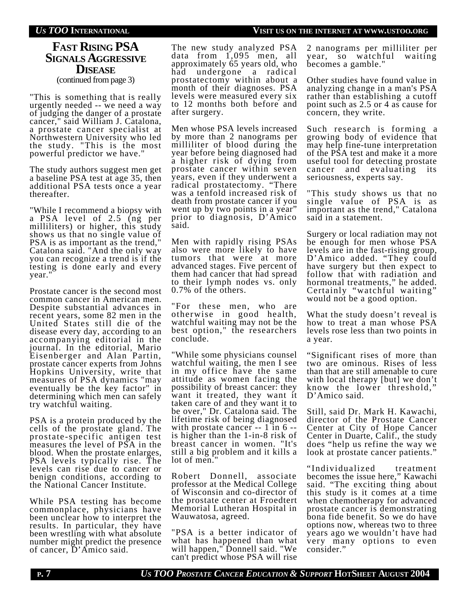# **FAST RISING PSA SIGNALS AGGRESSIVE DISEASE**

(continued from page 3)

"This is something that is really urgently needed -- we need a way of judging the danger of a prostate cancer," said William J. Catalona, a prostate cancer specialist at Northwestern University who led the study. "This is the most powerful predictor we have."

The study authors suggest men get a baseline PSA test at age 35, then additional PSA tests once a year thereafter.

"While I recommend a biopsy with a PSA level of 2.5 (ng per milliliters) or higher, this study shows us that no single value of PSA is as important as the trend," Catalona said. "And the only way you can recognize a trend is if the testing is done early and every year."

Prostate cancer is the second most common cancer in American men. Despite substantial advances in recent years, some 82 men in the United States still die of the disease every day, according to an accompanying editorial in the journal. In the editorial, Mario Eisenberger and Alan Partin, prostate cancer experts from Johns Hopkins University, write that measures of PSA dynamics "may eventually be the key factor" in determining which men can safely try watchful waiting.

PSA is a protein produced by the cells of the prostate gland. The prostate-specific antigen test measures the level of PSA in the blood. When the prostate enlarges, PSA levels typically rise. The levels can rise due to cancer or benign conditions, according to the National Cancer Institute.

While PSA testing has become commonplace, physicians have been unclear how to interpret the results. In particular, they have been wrestling with what absolute number might predict the presence of cancer, D'Amico said.

The new study analyzed PSA data from 1,095 men, all approximately 65 years old, who had undergone a radical prostatectomy within about a month of their diagnoses. PSA levels were measured every six to 12 months both before and after surgery.

Men whose PSA levels increased by more than 2 nanograms per milliliter of blood during the year before being diagnosed had a higher risk of dying from prostate cancer within seven years, even if they underwent a radical prostatectomy. "There was a tenfold increased risk of death from prostate cancer if you went up by two points in a year" prior to diagnosis, D'Amico said.

Men with rapidly rising PSAs also were more likely to have tumors that were at more advanced stages. Five percent of them had cancer that had spread to their lymph nodes vs. only 0.7% of the others.

"For these men, who are otherwise in good health, watchful waiting may not be the best option," the researchers conclude.

"While some physicians counsel watchful waiting, the men I see in my office have the same attitude as women facing the possibility of breast cancer: they want it treated, they want it taken care of and they want it to be over," Dr. Catalona said. The lifetime risk of being diagnosed with prostate cancer -- 1 in 6 -is higher than the 1-in-8 risk of breast cancer in women. "It's still a big problem and it kills a lot of men.

Robert Donnell, associate professor at the Medical College of Wisconsin and co-director of the prostate center at Froedtert Memorial Lutheran Hospital in Wauwatosa, agreed.

"PSA is a better indicator of what has happened than what will happen," Donnell said. "We can't predict whose PSA will rise

2 nanograms per milliliter per year, so watchful waiting becomes a gamble."

Other studies have found value in analyzing change in a man's PSA rather than establishing a cutoff point such as 2.5 or 4 as cause for concern, they write.

Such research is forming a growing body of evidence that may help fine-tune interpretation of the PSA test and make it a more useful tool for detecting prostate cancer and evaluating its seriousness, experts say.

"This study shows us that no single value of PSA is as important as the trend," Catalona said in a statement.

Surgery or local radiation may not be enough for men whose PSA levels are in the fast-rising group, D'Amico added. "They could have surgery but then expect to follow that with radiation and hormonal treatments," he added. Certainly "watchful waiting" would not be a good option.

What the study doesn't reveal is how to treat a man whose PSA levels rose less than two points in a year.

"Significant rises of more than two are ominous. Rises of less than that are still amenable to cure with local therapy [but] we don't know the lower threshold," D'Amico said.

Still, said Dr. Mark H. Kawachi, director of the Prostate Cancer Center at City of Hope Cancer Center in Duarte, Calif., the study does "help us refine the way we look at prostate cancer patients."

"Individualized treatment becomes the issue here," Kawachi said. "The exciting thing about this study is it comes at a time when chemotherapy for advanced prostate cancer is demonstrating bona fide benefit. So we do have options now, whereas two to three years ago we wouldn't have had very many options to even consider."